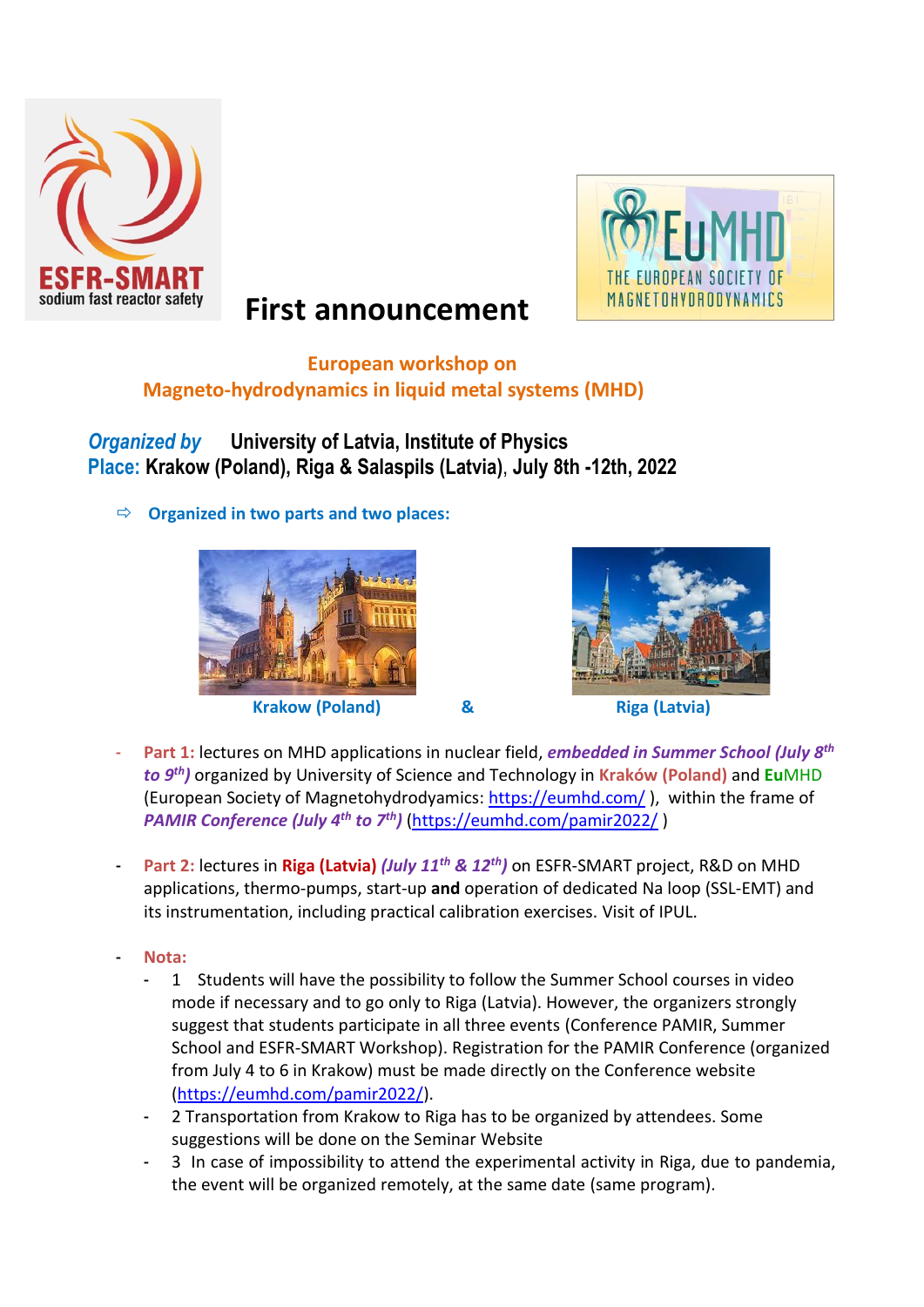



# sodium fast reactor safety **First announcement**

# **European workshop on Magneto-hydrodynamics in liquid metal systems (MHD)**

# *Organized by* **University of Latvia, Institute of Physics Place: Krakow (Poland), Riga & Salaspils (Latvia)**, **July 8th -12th, 2022**

**Organized in two parts and two places:**



**Krakow (Poland) & Riga (Latvia)**



- **Part 1:** lectures on MHD applications in nuclear field, *embedded in Summer School (July 8 th to 9 th)* organized by University of Science and Technology in **Kraków (Poland)** and **Eu**MHD (European Society of Magnetohydrodyamics: <https://eumhd.com/> ), within the frame of *PAMIR Conference (July 4th to 7th)* [\(https://eumhd.com/pamir2022/](https://eumhd.com/pamir2022/) )
- **Part 2:** lectures in **Riga (Latvia)** *(July 11th & 12th)* on ESFR-SMART project, R&D on MHD applications, thermo-pumps, start-up **and** operation of dedicated Na loop (SSL-EMT) and its instrumentation, including practical calibration exercises. Visit of IPUL.
- **Nota:**
	- 1 Students will have the possibility to follow the Summer School courses in video mode if necessary and to go only to Riga (Latvia). However, the organizers strongly suggest that students participate in all three events (Conference PAMIR, Summer School and ESFR-SMART Workshop). Registration for the PAMIR Conference (organized from July 4 to 6 in Krakow) must be made directly on the Conference website [\(https://eumhd.com/pamir2022/\)](https://eumhd.com/pamir2022/).
	- 2 Transportation from Krakow to Riga has to be organized by attendees. Some suggestions will be done on the Seminar Website
	- 3 In case of impossibility to attend the experimental activity in Riga, due to pandemia, the event will be organized remotely, at the same date (same program).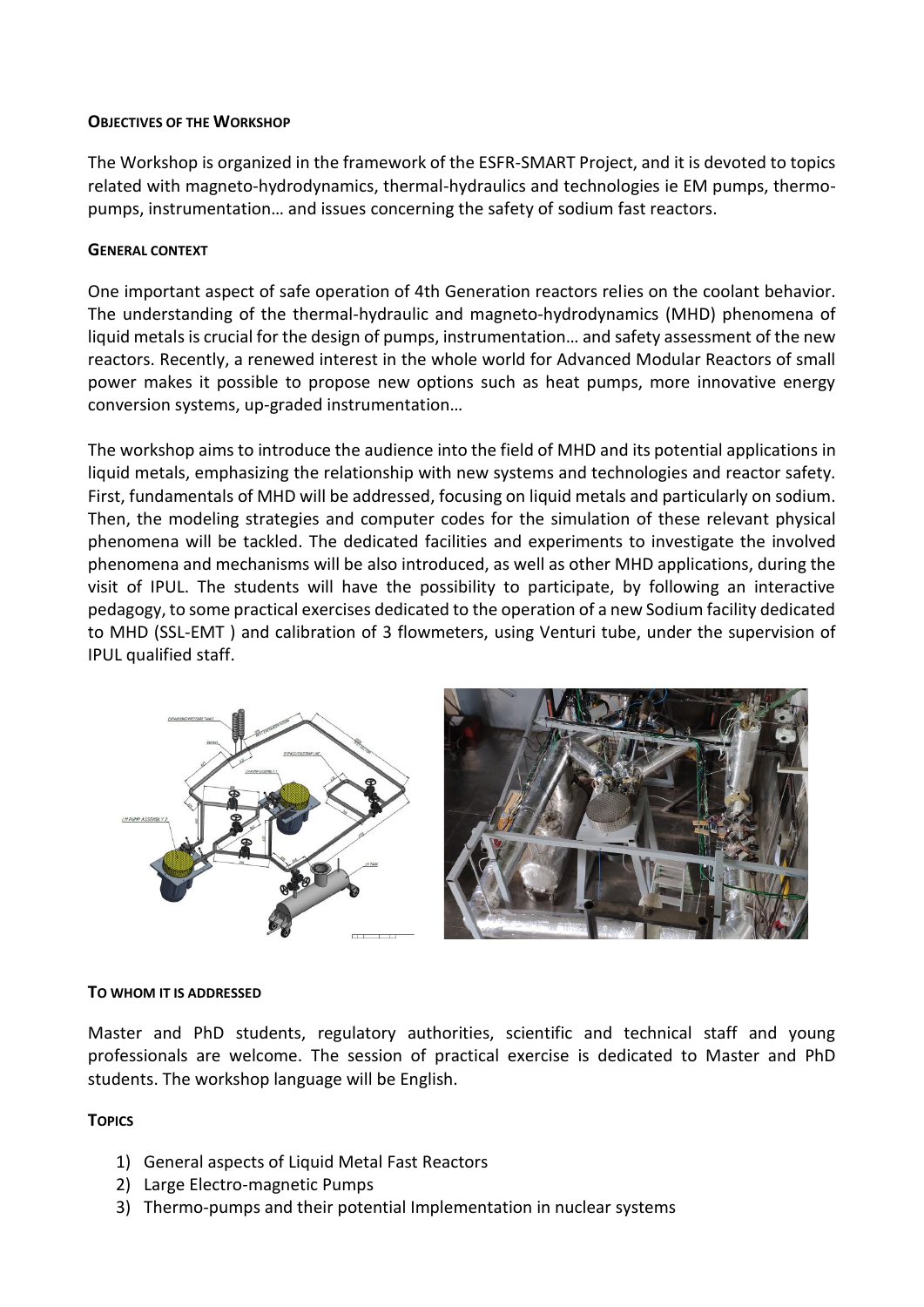# **OBJECTIVES OF THE WORKSHOP**

The Workshop is organized in the framework of the ESFR-SMART Project, and it is devoted to topics related with magneto-hydrodynamics, thermal-hydraulics and technologies ie EM pumps, thermopumps, instrumentation… and issues concerning the safety of sodium fast reactors.

# **GENERAL CONTEXT**

One important aspect of safe operation of 4th Generation reactors relies on the coolant behavior. The understanding of the thermal-hydraulic and magneto-hydrodynamics (MHD) phenomena of liquid metals is crucial for the design of pumps, instrumentation… and safety assessment of the new reactors. Recently, a renewed interest in the whole world for Advanced Modular Reactors of small power makes it possible to propose new options such as heat pumps, more innovative energy conversion systems, up-graded instrumentation…

The workshop aims to introduce the audience into the field of MHD and its potential applications in liquid metals, emphasizing the relationship with new systems and technologies and reactor safety. First, fundamentals of MHD will be addressed, focusing on liquid metals and particularly on sodium. Then, the modeling strategies and computer codes for the simulation of these relevant physical phenomena will be tackled. The dedicated facilities and experiments to investigate the involved phenomena and mechanisms will be also introduced, as well as other MHD applications, during the visit of IPUL. The students will have the possibility to participate, by following an interactive pedagogy, to some practical exercises dedicated to the operation of a new Sodium facility dedicated to MHD (SSL-EMT ) and calibration of 3 flowmeters, using Venturi tube, under the supervision of IPUL qualified staff.



# **TO WHOM IT IS ADDRESSED**

Master and PhD students, regulatory authorities, scientific and technical staff and young professionals are welcome. The session of practical exercise is dedicated to Master and PhD students. The workshop language will be English.

# **TOPICS**

- 1) General aspects of Liquid Metal Fast Reactors
- 2) Large Electro-magnetic Pumps
- 3) Thermo-pumps and their potential Implementation in nuclear systems